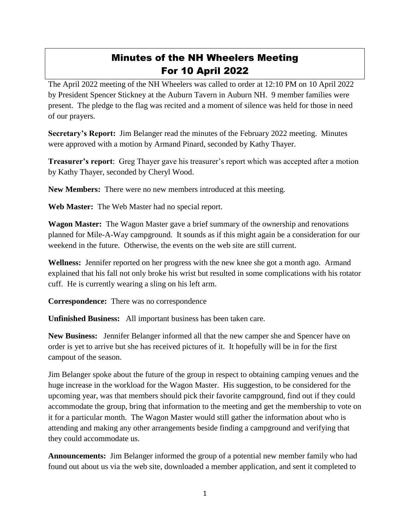## Minutes of the NH Wheelers Meeting For 10 April 2022

The April 2022 meeting of the NH Wheelers was called to order at 12:10 PM on 10 April 2022 by President Spencer Stickney at the Auburn Tavern in Auburn NH. 9 member families were present. The pledge to the flag was recited and a moment of silence was held for those in need of our prayers.

**Secretary's Report:** Jim Belanger read the minutes of the February 2022 meeting. Minutes were approved with a motion by Armand Pinard, seconded by Kathy Thayer.

**Treasurer's report**: Greg Thayer gave his treasurer's report which was accepted after a motion by Kathy Thayer, seconded by Cheryl Wood.

**New Members:** There were no new members introduced at this meeting.

**Web Master:** The Web Master had no special report.

**Wagon Master:** The Wagon Master gave a brief summary of the ownership and renovations planned for Mile-A-Way campground. It sounds as if this might again be a consideration for our weekend in the future. Otherwise, the events on the web site are still current.

**Wellness:** Jennifer reported on her progress with the new knee she got a month ago. Armand explained that his fall not only broke his wrist but resulted in some complications with his rotator cuff. He is currently wearing a sling on his left arm.

**Correspondence:** There was no correspondence

**Unfinished Business:** All important business has been taken care.

**New Business:** Jennifer Belanger informed all that the new camper she and Spencer have on order is yet to arrive but she has received pictures of it. It hopefully will be in for the first campout of the season.

Jim Belanger spoke about the future of the group in respect to obtaining camping venues and the huge increase in the workload for the Wagon Master. His suggestion, to be considered for the upcoming year, was that members should pick their favorite campground, find out if they could accommodate the group, bring that information to the meeting and get the membership to vote on it for a particular month. The Wagon Master would still gather the information about who is attending and making any other arrangements beside finding a campground and verifying that they could accommodate us.

**Announcements:** Jim Belanger informed the group of a potential new member family who had found out about us via the web site, downloaded a member application, and sent it completed to